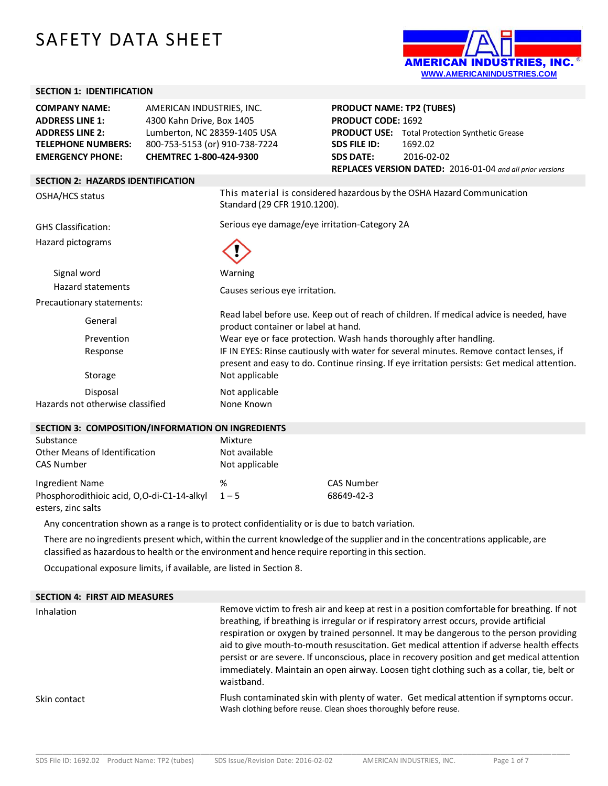# SAFETY DATA SHEET



### **SECTION 1: IDENTIFICATION**

| <b>COMPANY NAME:</b>                              | AMERICAN INDUSTRIES, INC.      |                                                                    | <b>PRODUCT NAME: TP2 (TUBES)</b> |                                                                                                                                                                                        |  |
|---------------------------------------------------|--------------------------------|--------------------------------------------------------------------|----------------------------------|----------------------------------------------------------------------------------------------------------------------------------------------------------------------------------------|--|
| <b>ADDRESS LINE 1:</b>                            | 4300 Kahn Drive, Box 1405      |                                                                    | <b>PRODUCT CODE: 1692</b>        |                                                                                                                                                                                        |  |
| <b>ADDRESS LINE 2:</b>                            | Lumberton, NC 28359-1405 USA   |                                                                    |                                  | <b>PRODUCT USE:</b> Total Protection Synthetic Grease                                                                                                                                  |  |
| <b>TELEPHONE NUMBERS:</b>                         | 800-753-5153 (or) 910-738-7224 |                                                                    | <b>SDS FILE ID:</b>              | 1692.02                                                                                                                                                                                |  |
| <b>EMERGENCY PHONE:</b>                           | CHEMTREC 1-800-424-9300        |                                                                    | <b>SDS DATE:</b>                 | 2016-02-02                                                                                                                                                                             |  |
|                                                   |                                |                                                                    |                                  | REPLACES VERSION DATED: 2016-01-04 and all prior versions                                                                                                                              |  |
| <b>SECTION 2: HAZARDS IDENTIFICATION</b>          |                                |                                                                    |                                  |                                                                                                                                                                                        |  |
| OSHA/HCS status                                   |                                | Standard (29 CFR 1910.1200).                                       |                                  | This material is considered hazardous by the OSHA Hazard Communication                                                                                                                 |  |
| <b>GHS Classification:</b>                        |                                | Serious eye damage/eye irritation-Category 2A                      |                                  |                                                                                                                                                                                        |  |
| Hazard pictograms                                 |                                |                                                                    |                                  |                                                                                                                                                                                        |  |
| Signal word                                       |                                | Warning                                                            |                                  |                                                                                                                                                                                        |  |
| <b>Hazard statements</b>                          |                                | Causes serious eye irritation.                                     |                                  |                                                                                                                                                                                        |  |
| Precautionary statements:                         |                                |                                                                    |                                  |                                                                                                                                                                                        |  |
| General                                           |                                | product container or label at hand.                                |                                  | Read label before use. Keep out of reach of children. If medical advice is needed, have                                                                                                |  |
| Prevention                                        |                                | Wear eye or face protection. Wash hands thoroughly after handling. |                                  |                                                                                                                                                                                        |  |
| Response                                          |                                |                                                                    |                                  | IF IN EYES: Rinse cautiously with water for several minutes. Remove contact lenses, if<br>present and easy to do. Continue rinsing. If eye irritation persists: Get medical attention. |  |
| Storage                                           |                                | Not applicable                                                     |                                  |                                                                                                                                                                                        |  |
| Disposal                                          |                                | Not applicable                                                     |                                  |                                                                                                                                                                                        |  |
| Hazards not otherwise classified                  |                                | None Known                                                         |                                  |                                                                                                                                                                                        |  |
| SECTION 3: COMPOSITION/INFORMATION ON INGREDIENTS |                                |                                                                    |                                  |                                                                                                                                                                                        |  |

#### **SECTION 3: COMPOSITION/INFORMATION ON INGREDIENTS**

| Substance                                  | Mixture        |                   |
|--------------------------------------------|----------------|-------------------|
| Other Means of Identification              | Not available  |                   |
| CAS Number                                 | Not applicable |                   |
| Ingredient Name                            | ℅              | <b>CAS Number</b> |
| Phosphorodithioic acid, O,O-di-C1-14-alkyl | $1 - 5$        | 68649-42-3        |
| esters, zinc salts                         |                |                   |

Any concentration shown as a range is to protect confidentiality or is due to batch variation.

There are no ingredients present which, within the current knowledgeof the supplier and in the concentrations applicable, are classified as hazardousto health or the environment and hence require reporting in thissection.

Occupational exposure limits, if available, are listed in Section 8.

| <b>SECTION 4: FIRST AID MEASURES</b> |                                                                                                                                                                                                                                                                                                                                                                                                                                                                                                                                                                                            |
|--------------------------------------|--------------------------------------------------------------------------------------------------------------------------------------------------------------------------------------------------------------------------------------------------------------------------------------------------------------------------------------------------------------------------------------------------------------------------------------------------------------------------------------------------------------------------------------------------------------------------------------------|
| Inhalation                           | Remove victim to fresh air and keep at rest in a position comfortable for breathing. If not<br>breathing, if breathing is irregular or if respiratory arrest occurs, provide artificial<br>respiration or oxygen by trained personnel. It may be dangerous to the person providing<br>aid to give mouth-to-mouth resuscitation. Get medical attention if adverse health effects<br>persist or are severe. If unconscious, place in recovery position and get medical attention<br>immediately. Maintain an open airway. Loosen tight clothing such as a collar, tie, belt or<br>waistband. |
| Skin contact                         | Flush contaminated skin with plenty of water. Get medical attention if symptoms occur.<br>Wash clothing before reuse. Clean shoes thoroughly before reuse.                                                                                                                                                                                                                                                                                                                                                                                                                                 |

\_\_\_\_\_\_\_\_\_\_\_\_\_\_\_\_\_\_\_\_\_\_\_\_\_\_\_\_\_\_\_\_\_\_\_\_\_\_\_\_\_\_\_\_\_\_\_\_\_\_\_\_\_\_\_\_\_\_\_\_\_\_\_\_\_\_\_\_\_\_\_\_\_\_\_\_\_\_\_\_\_\_\_\_\_\_\_\_\_\_\_\_\_\_\_\_\_\_\_\_\_\_\_\_\_\_\_\_\_\_\_\_\_\_\_\_\_\_\_\_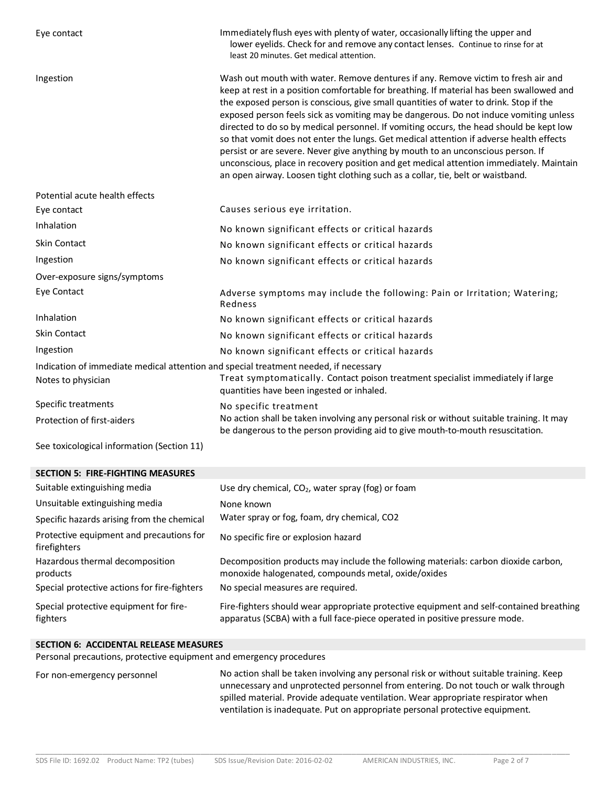| Eye contact                                                                          | Immediately flush eyes with plenty of water, occasionally lifting the upper and<br>lower eyelids. Check for and remove any contact lenses. Continue to rinse for at<br>least 20 minutes. Get medical attention.                                                                                                                                                                                                                                                                                                                                                                                                                                                                                                                                                                                                         |
|--------------------------------------------------------------------------------------|-------------------------------------------------------------------------------------------------------------------------------------------------------------------------------------------------------------------------------------------------------------------------------------------------------------------------------------------------------------------------------------------------------------------------------------------------------------------------------------------------------------------------------------------------------------------------------------------------------------------------------------------------------------------------------------------------------------------------------------------------------------------------------------------------------------------------|
| Ingestion                                                                            | Wash out mouth with water. Remove dentures if any. Remove victim to fresh air and<br>keep at rest in a position comfortable for breathing. If material has been swallowed and<br>the exposed person is conscious, give small quantities of water to drink. Stop if the<br>exposed person feels sick as vomiting may be dangerous. Do not induce vomiting unless<br>directed to do so by medical personnel. If vomiting occurs, the head should be kept low<br>so that vomit does not enter the lungs. Get medical attention if adverse health effects<br>persist or are severe. Never give anything by mouth to an unconscious person. If<br>unconscious, place in recovery position and get medical attention immediately. Maintain<br>an open airway. Loosen tight clothing such as a collar, tie, belt or waistband. |
| Potential acute health effects                                                       |                                                                                                                                                                                                                                                                                                                                                                                                                                                                                                                                                                                                                                                                                                                                                                                                                         |
| Eye contact                                                                          | Causes serious eye irritation.                                                                                                                                                                                                                                                                                                                                                                                                                                                                                                                                                                                                                                                                                                                                                                                          |
| Inhalation                                                                           | No known significant effects or critical hazards                                                                                                                                                                                                                                                                                                                                                                                                                                                                                                                                                                                                                                                                                                                                                                        |
| Skin Contact                                                                         | No known significant effects or critical hazards                                                                                                                                                                                                                                                                                                                                                                                                                                                                                                                                                                                                                                                                                                                                                                        |
| Ingestion                                                                            | No known significant effects or critical hazards                                                                                                                                                                                                                                                                                                                                                                                                                                                                                                                                                                                                                                                                                                                                                                        |
| Over-exposure signs/symptoms                                                         |                                                                                                                                                                                                                                                                                                                                                                                                                                                                                                                                                                                                                                                                                                                                                                                                                         |
| Eye Contact                                                                          | Adverse symptoms may include the following: Pain or Irritation; Watering;<br>Redness                                                                                                                                                                                                                                                                                                                                                                                                                                                                                                                                                                                                                                                                                                                                    |
| Inhalation                                                                           | No known significant effects or critical hazards                                                                                                                                                                                                                                                                                                                                                                                                                                                                                                                                                                                                                                                                                                                                                                        |
| Skin Contact                                                                         | No known significant effects or critical hazards                                                                                                                                                                                                                                                                                                                                                                                                                                                                                                                                                                                                                                                                                                                                                                        |
| Ingestion                                                                            | No known significant effects or critical hazards                                                                                                                                                                                                                                                                                                                                                                                                                                                                                                                                                                                                                                                                                                                                                                        |
| Indication of immediate medical attention and special treatment needed, if necessary |                                                                                                                                                                                                                                                                                                                                                                                                                                                                                                                                                                                                                                                                                                                                                                                                                         |
| Notes to physician                                                                   | Treat symptomatically. Contact poison treatment specialist immediately if large<br>quantities have been ingested or inhaled.                                                                                                                                                                                                                                                                                                                                                                                                                                                                                                                                                                                                                                                                                            |
| Specific treatments                                                                  | No specific treatment                                                                                                                                                                                                                                                                                                                                                                                                                                                                                                                                                                                                                                                                                                                                                                                                   |
| Protection of first-aiders                                                           | No action shall be taken involving any personal risk or without suitable training. It may<br>be dangerous to the person providing aid to give mouth-to-mouth resuscitation.                                                                                                                                                                                                                                                                                                                                                                                                                                                                                                                                                                                                                                             |
| See toxicological information (Section 11)                                           |                                                                                                                                                                                                                                                                                                                                                                                                                                                                                                                                                                                                                                                                                                                                                                                                                         |
| <b>SECTION 5: FIRE-FIGHTING MEASURES</b>                                             |                                                                                                                                                                                                                                                                                                                                                                                                                                                                                                                                                                                                                                                                                                                                                                                                                         |

| <u>JLCHUN J. FINL-FIUHHINU IVILAJUNLJ</u>                |                                                                                                                                                                        |
|----------------------------------------------------------|------------------------------------------------------------------------------------------------------------------------------------------------------------------------|
| Suitable extinguishing media                             | Use dry chemical, $CO2$ , water spray (fog) or foam                                                                                                                    |
| Unsuitable extinguishing media                           | None known                                                                                                                                                             |
| Specific hazards arising from the chemical               | Water spray or fog, foam, dry chemical, CO2                                                                                                                            |
| Protective equipment and precautions for<br>firefighters | No specific fire or explosion hazard                                                                                                                                   |
| Hazardous thermal decomposition<br>products              | Decomposition products may include the following materials: carbon dioxide carbon,<br>monoxide halogenated, compounds metal, oxide/oxides                              |
| Special protective actions for fire-fighters             | No special measures are required.                                                                                                                                      |
| Special protective equipment for fire-<br>fighters       | Fire-fighters should wear appropriate protective equipment and self-contained breathing<br>apparatus (SCBA) with a full face-piece operated in positive pressure mode. |

# **SECTION 6: ACCIDENTAL RELEASE MEASURES**

Personal precautions, protective equipment and emergency procedures

For non-emergency personnel No action shall be taken involving any personal risk or without suitable training. Keep unnecessary and unprotected personnel from entering. Do not touch or walk through spilled material. Provide adequate ventilation. Wear appropriate respirator when ventilation is inadequate. Put on appropriate personal protective equipment.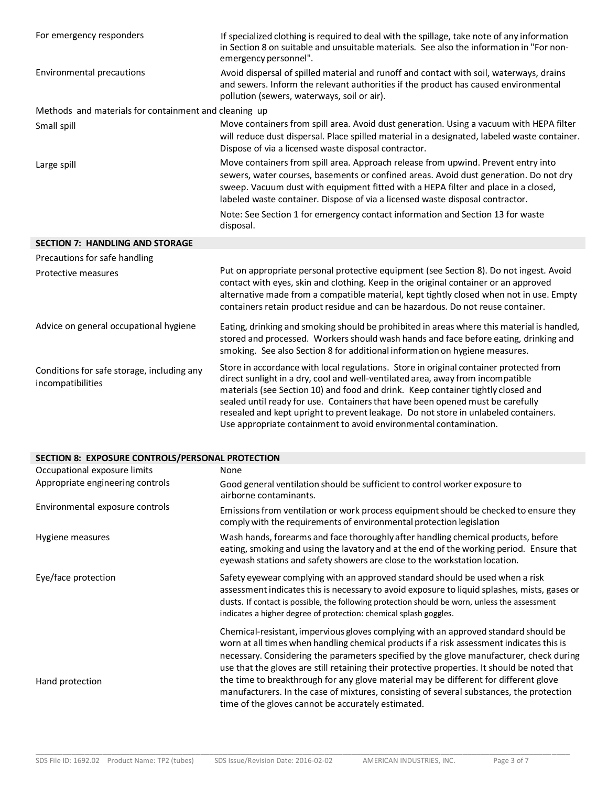| For emergency responders                                        | If specialized clothing is required to deal with the spillage, take note of any information<br>in Section 8 on suitable and unsuitable materials. See also the information in "For non-<br>emergency personnel".                                                                                                                                                                                                                                                                                            |  |  |  |  |
|-----------------------------------------------------------------|-------------------------------------------------------------------------------------------------------------------------------------------------------------------------------------------------------------------------------------------------------------------------------------------------------------------------------------------------------------------------------------------------------------------------------------------------------------------------------------------------------------|--|--|--|--|
| Environmental precautions                                       | Avoid dispersal of spilled material and runoff and contact with soil, waterways, drains<br>and sewers. Inform the relevant authorities if the product has caused environmental<br>pollution (sewers, waterways, soil or air).                                                                                                                                                                                                                                                                               |  |  |  |  |
| Methods and materials for containment and cleaning up           |                                                                                                                                                                                                                                                                                                                                                                                                                                                                                                             |  |  |  |  |
| Small spill                                                     | Move containers from spill area. Avoid dust generation. Using a vacuum with HEPA filter<br>will reduce dust dispersal. Place spilled material in a designated, labeled waste container.<br>Dispose of via a licensed waste disposal contractor.                                                                                                                                                                                                                                                             |  |  |  |  |
| Large spill                                                     | Move containers from spill area. Approach release from upwind. Prevent entry into<br>sewers, water courses, basements or confined areas. Avoid dust generation. Do not dry<br>sweep. Vacuum dust with equipment fitted with a HEPA filter and place in a closed,<br>labeled waste container. Dispose of via a licensed waste disposal contractor.                                                                                                                                                           |  |  |  |  |
|                                                                 | Note: See Section 1 for emergency contact information and Section 13 for waste<br>disposal.                                                                                                                                                                                                                                                                                                                                                                                                                 |  |  |  |  |
| <b>SECTION 7: HANDLING AND STORAGE</b>                          |                                                                                                                                                                                                                                                                                                                                                                                                                                                                                                             |  |  |  |  |
| Precautions for safe handling                                   |                                                                                                                                                                                                                                                                                                                                                                                                                                                                                                             |  |  |  |  |
| Protective measures                                             | Put on appropriate personal protective equipment (see Section 8). Do not ingest. Avoid<br>contact with eyes, skin and clothing. Keep in the original container or an approved<br>alternative made from a compatible material, kept tightly closed when not in use. Empty<br>containers retain product residue and can be hazardous. Do not reuse container.                                                                                                                                                 |  |  |  |  |
| Advice on general occupational hygiene                          | Eating, drinking and smoking should be prohibited in areas where this material is handled,<br>stored and processed. Workers should wash hands and face before eating, drinking and<br>smoking. See also Section 8 for additional information on hygiene measures.                                                                                                                                                                                                                                           |  |  |  |  |
| Conditions for safe storage, including any<br>incompatibilities | Store in accordance with local regulations. Store in original container protected from<br>direct sunlight in a dry, cool and well-ventilated area, away from incompatible<br>materials (see Section 10) and food and drink. Keep container tightly closed and<br>sealed until ready for use. Containers that have been opened must be carefully<br>resealed and kept upright to prevent leakage. Do not store in unlabeled containers.<br>Use appropriate containment to avoid environmental contamination. |  |  |  |  |

## **SECTION 8: EXPOSURE CONTROLS/PERSONAL PROTECTION**

| Occupational exposure limits     | None                                                                                                                                                                                                                                                                                                                                                                       |
|----------------------------------|----------------------------------------------------------------------------------------------------------------------------------------------------------------------------------------------------------------------------------------------------------------------------------------------------------------------------------------------------------------------------|
| Appropriate engineering controls | Good general ventilation should be sufficient to control worker exposure to<br>airborne contaminants.                                                                                                                                                                                                                                                                      |
| Environmental exposure controls  | Emissions from ventilation or work process equipment should be checked to ensure they<br>comply with the requirements of environmental protection legislation                                                                                                                                                                                                              |
| Hygiene measures                 | Wash hands, forearms and face thoroughly after handling chemical products, before<br>eating, smoking and using the lavatory and at the end of the working period. Ensure that<br>eyewash stations and safety showers are close to the workstation location.                                                                                                                |
| Eye/face protection              | Safety eyewear complying with an approved standard should be used when a risk<br>assessment indicates this is necessary to avoid exposure to liquid splashes, mists, gases or<br>dusts. If contact is possible, the following protection should be worn, unless the assessment<br>indicates a higher degree of protection: chemical splash goggles.                        |
|                                  | Chemical-resistant, impervious gloves complying with an approved standard should be<br>worn at all times when handling chemical products if a risk assessment indicates this is<br>necessary. Considering the parameters specified by the glove manufacturer, check during<br>use that the gloves are still retaining their protective properties. It should be noted that |
| Hand protection                  | the time to breakthrough for any glove material may be different for different glove<br>manufacturers. In the case of mixtures, consisting of several substances, the protection<br>time of the gloves cannot be accurately estimated.                                                                                                                                     |

\_\_\_\_\_\_\_\_\_\_\_\_\_\_\_\_\_\_\_\_\_\_\_\_\_\_\_\_\_\_\_\_\_\_\_\_\_\_\_\_\_\_\_\_\_\_\_\_\_\_\_\_\_\_\_\_\_\_\_\_\_\_\_\_\_\_\_\_\_\_\_\_\_\_\_\_\_\_\_\_\_\_\_\_\_\_\_\_\_\_\_\_\_\_\_\_\_\_\_\_\_\_\_\_\_\_\_\_\_\_\_\_\_\_\_\_\_\_\_\_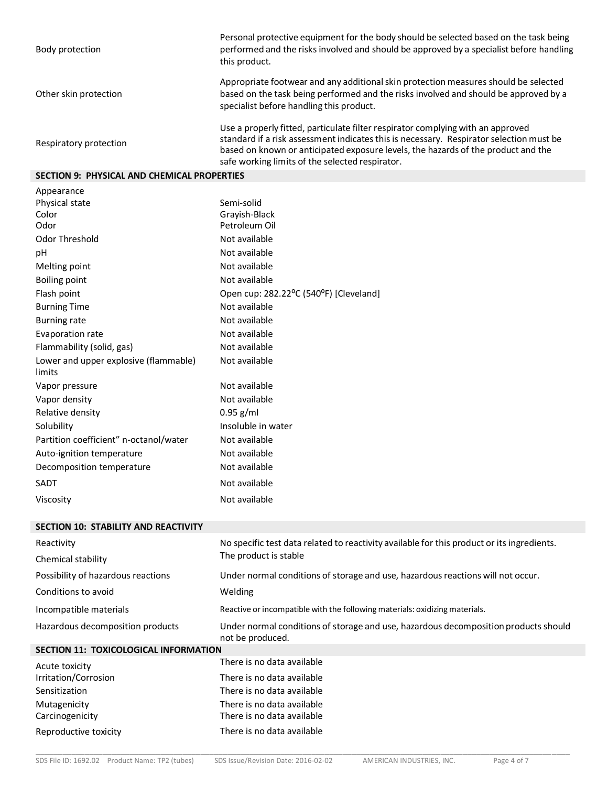| Body protection                 | Personal protective equipment for the body should be selected based on the task being<br>performed and the risks involved and should be approved by a specialist before handling<br>this product.                                                                                                                  |
|---------------------------------|--------------------------------------------------------------------------------------------------------------------------------------------------------------------------------------------------------------------------------------------------------------------------------------------------------------------|
| Other skin protection           | Appropriate footwear and any additional skin protection measures should be selected<br>based on the task being performed and the risks involved and should be approved by a<br>specialist before handling this product.                                                                                            |
| Respiratory protection          | Use a properly fitted, particulate filter respirator complying with an approved<br>standard if a risk assessment indicates this is necessary. Respirator selection must be<br>based on known or anticipated exposure levels, the hazards of the product and the<br>safe working limits of the selected respirator. |
| CECTION O. DUVCICAL AND CUERAIC |                                                                                                                                                                                                                                                                                                                    |

#### **SECTION 9: PHYSICAL AND CHEMICAL PROPERTIES**

| Semi-solid                             |
|----------------------------------------|
| Grayish-Black                          |
| Petroleum Oil                          |
| Not available                          |
| Not available                          |
| Not available                          |
| Not available                          |
| Open cup: 282.22°C (540°F) [Cleveland] |
| Not available                          |
| Not available                          |
| Not available                          |
| Not available                          |
| Not available                          |
| Not available                          |
| Not available                          |
| $0.95$ g/ml                            |
| Insoluble in water                     |
| Not available                          |
| Not available                          |
| Not available                          |
| Not available                          |
| Not available                          |
|                                        |

# **SECTION 10: STABILITY AND REACTIVITY** Reactivity **No specific test data related to reactivity available for this product or its ingredients.** Chemical stability The product is stable Possibility of hazardous reactions Under normal conditions of storage and use, hazardous reactions will not occur. Conditions to avoid Welding Incompatible materials **Reactive or incompatible with the following materials:** oxidizing materials. Hazardous decomposition products Under normal conditions of storage and use, hazardous decomposition products should

# not be produced.

| <b>SECTION 11: TOXICOLOGICAL INFORMATION</b> |                            |  |  |  |  |
|----------------------------------------------|----------------------------|--|--|--|--|
| Acute toxicity                               | There is no data available |  |  |  |  |
| Irritation/Corrosion                         | There is no data available |  |  |  |  |
| Sensitization                                | There is no data available |  |  |  |  |
| Mutagenicity                                 | There is no data available |  |  |  |  |
| Carcinogenicity                              | There is no data available |  |  |  |  |
| Reproductive toxicity                        | There is no data available |  |  |  |  |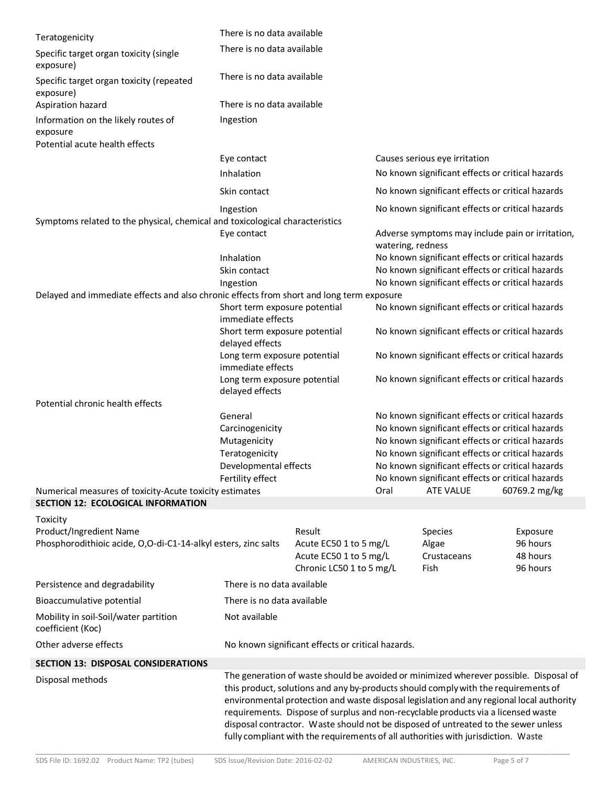| There is no data available<br>There is no data available<br>There is no data available<br>Ingestion<br>Eye contact<br>Inhalation                                                                                                                                                                                                                                                                                                                                                                                                        |                                                                                                                           |                                                                       |                                                                                                                                   |                                                                                                                                                                                                     |  |
|-----------------------------------------------------------------------------------------------------------------------------------------------------------------------------------------------------------------------------------------------------------------------------------------------------------------------------------------------------------------------------------------------------------------------------------------------------------------------------------------------------------------------------------------|---------------------------------------------------------------------------------------------------------------------------|-----------------------------------------------------------------------|-----------------------------------------------------------------------------------------------------------------------------------|-----------------------------------------------------------------------------------------------------------------------------------------------------------------------------------------------------|--|
|                                                                                                                                                                                                                                                                                                                                                                                                                                                                                                                                         |                                                                                                                           |                                                                       |                                                                                                                                   |                                                                                                                                                                                                     |  |
|                                                                                                                                                                                                                                                                                                                                                                                                                                                                                                                                         |                                                                                                                           |                                                                       |                                                                                                                                   |                                                                                                                                                                                                     |  |
|                                                                                                                                                                                                                                                                                                                                                                                                                                                                                                                                         |                                                                                                                           |                                                                       |                                                                                                                                   |                                                                                                                                                                                                     |  |
|                                                                                                                                                                                                                                                                                                                                                                                                                                                                                                                                         |                                                                                                                           |                                                                       |                                                                                                                                   |                                                                                                                                                                                                     |  |
|                                                                                                                                                                                                                                                                                                                                                                                                                                                                                                                                         |                                                                                                                           |                                                                       |                                                                                                                                   |                                                                                                                                                                                                     |  |
|                                                                                                                                                                                                                                                                                                                                                                                                                                                                                                                                         |                                                                                                                           |                                                                       | Causes serious eye irritation                                                                                                     |                                                                                                                                                                                                     |  |
|                                                                                                                                                                                                                                                                                                                                                                                                                                                                                                                                         |                                                                                                                           |                                                                       | No known significant effects or critical hazards                                                                                  |                                                                                                                                                                                                     |  |
| Skin contact                                                                                                                                                                                                                                                                                                                                                                                                                                                                                                                            |                                                                                                                           | No known significant effects or critical hazards                      |                                                                                                                                   |                                                                                                                                                                                                     |  |
| Ingestion                                                                                                                                                                                                                                                                                                                                                                                                                                                                                                                               |                                                                                                                           |                                                                       | No known significant effects or critical hazards                                                                                  |                                                                                                                                                                                                     |  |
|                                                                                                                                                                                                                                                                                                                                                                                                                                                                                                                                         | Symptoms related to the physical, chemical and toxicological characteristics                                              |                                                                       |                                                                                                                                   |                                                                                                                                                                                                     |  |
| Eye contact                                                                                                                                                                                                                                                                                                                                                                                                                                                                                                                             |                                                                                                                           | Adverse symptoms may include pain or irritation,<br>watering, redness |                                                                                                                                   |                                                                                                                                                                                                     |  |
| Inhalation                                                                                                                                                                                                                                                                                                                                                                                                                                                                                                                              |                                                                                                                           | No known significant effects or critical hazards                      |                                                                                                                                   |                                                                                                                                                                                                     |  |
| Skin contact                                                                                                                                                                                                                                                                                                                                                                                                                                                                                                                            |                                                                                                                           | No known significant effects or critical hazards                      |                                                                                                                                   |                                                                                                                                                                                                     |  |
| Ingestion                                                                                                                                                                                                                                                                                                                                                                                                                                                                                                                               |                                                                                                                           |                                                                       | No known significant effects or critical hazards                                                                                  |                                                                                                                                                                                                     |  |
|                                                                                                                                                                                                                                                                                                                                                                                                                                                                                                                                         | Delayed and immediate effects and also chronic effects from short and long term exposure<br>Short term exposure potential |                                                                       |                                                                                                                                   |                                                                                                                                                                                                     |  |
| immediate effects                                                                                                                                                                                                                                                                                                                                                                                                                                                                                                                       |                                                                                                                           | No known significant effects or critical hazards                      |                                                                                                                                   |                                                                                                                                                                                                     |  |
| Short term exposure potential<br>delayed effects                                                                                                                                                                                                                                                                                                                                                                                                                                                                                        |                                                                                                                           | No known significant effects or critical hazards                      |                                                                                                                                   |                                                                                                                                                                                                     |  |
| immediate effects                                                                                                                                                                                                                                                                                                                                                                                                                                                                                                                       | Long term exposure potential                                                                                              | No known significant effects or critical hazards                      |                                                                                                                                   |                                                                                                                                                                                                     |  |
| Long term exposure potential<br>delayed effects                                                                                                                                                                                                                                                                                                                                                                                                                                                                                         |                                                                                                                           | No known significant effects or critical hazards                      |                                                                                                                                   |                                                                                                                                                                                                     |  |
|                                                                                                                                                                                                                                                                                                                                                                                                                                                                                                                                         |                                                                                                                           |                                                                       |                                                                                                                                   |                                                                                                                                                                                                     |  |
| General                                                                                                                                                                                                                                                                                                                                                                                                                                                                                                                                 |                                                                                                                           |                                                                       | No known significant effects or critical hazards                                                                                  |                                                                                                                                                                                                     |  |
|                                                                                                                                                                                                                                                                                                                                                                                                                                                                                                                                         |                                                                                                                           |                                                                       |                                                                                                                                   |                                                                                                                                                                                                     |  |
| Mutagenicity<br>Teratogenicity                                                                                                                                                                                                                                                                                                                                                                                                                                                                                                          |                                                                                                                           |                                                                       |                                                                                                                                   |                                                                                                                                                                                                     |  |
|                                                                                                                                                                                                                                                                                                                                                                                                                                                                                                                                         |                                                                                                                           | No known significant effects or critical hazards                      |                                                                                                                                   |                                                                                                                                                                                                     |  |
| Fertility effect                                                                                                                                                                                                                                                                                                                                                                                                                                                                                                                        |                                                                                                                           | No known significant effects or critical hazards                      |                                                                                                                                   |                                                                                                                                                                                                     |  |
| Numerical measures of toxicity-Acute toxicity estimates                                                                                                                                                                                                                                                                                                                                                                                                                                                                                 |                                                                                                                           | Oral                                                                  | <b>ATE VALUE</b><br>60769.2 mg/kg                                                                                                 |                                                                                                                                                                                                     |  |
|                                                                                                                                                                                                                                                                                                                                                                                                                                                                                                                                         |                                                                                                                           |                                                                       |                                                                                                                                   |                                                                                                                                                                                                     |  |
|                                                                                                                                                                                                                                                                                                                                                                                                                                                                                                                                         |                                                                                                                           |                                                                       |                                                                                                                                   |                                                                                                                                                                                                     |  |
|                                                                                                                                                                                                                                                                                                                                                                                                                                                                                                                                         |                                                                                                                           |                                                                       |                                                                                                                                   | Exposure                                                                                                                                                                                            |  |
|                                                                                                                                                                                                                                                                                                                                                                                                                                                                                                                                         |                                                                                                                           |                                                                       |                                                                                                                                   | 96 hours<br>48 hours                                                                                                                                                                                |  |
|                                                                                                                                                                                                                                                                                                                                                                                                                                                                                                                                         |                                                                                                                           |                                                                       |                                                                                                                                   | 96 hours                                                                                                                                                                                            |  |
|                                                                                                                                                                                                                                                                                                                                                                                                                                                                                                                                         |                                                                                                                           |                                                                       |                                                                                                                                   |                                                                                                                                                                                                     |  |
| There is no data available                                                                                                                                                                                                                                                                                                                                                                                                                                                                                                              |                                                                                                                           |                                                                       |                                                                                                                                   |                                                                                                                                                                                                     |  |
|                                                                                                                                                                                                                                                                                                                                                                                                                                                                                                                                         |                                                                                                                           |                                                                       |                                                                                                                                   |                                                                                                                                                                                                     |  |
| Not available                                                                                                                                                                                                                                                                                                                                                                                                                                                                                                                           |                                                                                                                           |                                                                       |                                                                                                                                   |                                                                                                                                                                                                     |  |
|                                                                                                                                                                                                                                                                                                                                                                                                                                                                                                                                         |                                                                                                                           |                                                                       |                                                                                                                                   |                                                                                                                                                                                                     |  |
|                                                                                                                                                                                                                                                                                                                                                                                                                                                                                                                                         |                                                                                                                           |                                                                       |                                                                                                                                   |                                                                                                                                                                                                     |  |
| The generation of waste should be avoided or minimized wherever possible. Disposal of<br>this product, solutions and any by-products should comply with the requirements of<br>environmental protection and waste disposal legislation and any regional local authority<br>requirements. Dispose of surplus and non-recyclable products via a licensed waste<br>disposal contractor. Waste should not be disposed of untreated to the sewer unless<br>fully compliant with the requirements of all authorities with jurisdiction. Waste |                                                                                                                           |                                                                       |                                                                                                                                   |                                                                                                                                                                                                     |  |
|                                                                                                                                                                                                                                                                                                                                                                                                                                                                                                                                         | Carcinogenicity<br>Phosphorodithioic acide, O,O-di-C1-14-alkyl esters, zinc salts                                         | Developmental effects<br>Result<br>There is no data available         | Acute EC50 1 to 5 mg/L<br>Acute EC50 1 to 5 mg/L<br>Chronic LC50 1 to 5 mg/L<br>No known significant effects or critical hazards. | No known significant effects or critical hazards<br>No known significant effects or critical hazards<br>No known significant effects or critical hazards<br>Species<br>Algae<br>Crustaceans<br>Fish |  |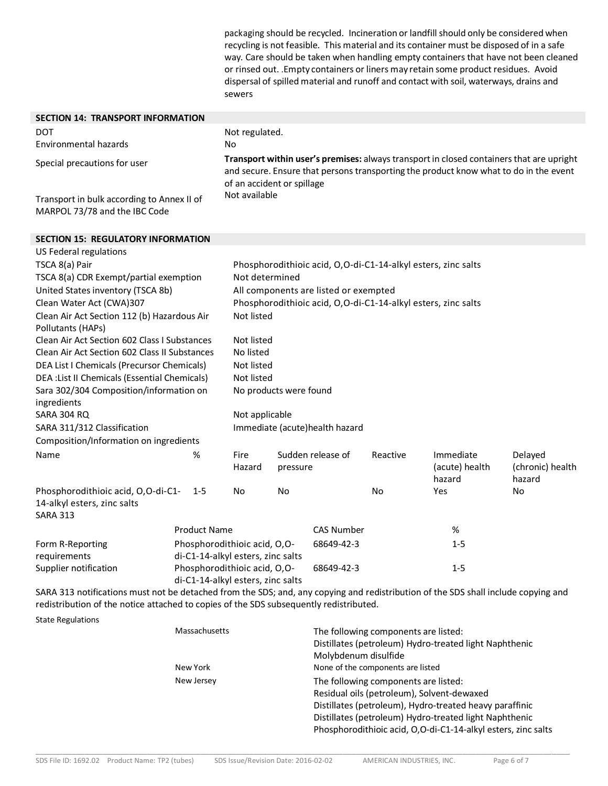packaging should be recycled. Incineration or landfill should only be considered when recycling is not feasible. This material and its container must be disposed of in a safe way. Care should be taken when handling empty containers that have not been cleaned or rinsed out. .Empty containers or liners may retain some product residues. Avoid dispersal of spilled material and runoff and contact with soil, waterways, drains and sewers

| <b>SECTION 14: TRANSPORT INFORMATION</b>                                                   |                     |                                                                                                                                                                                                                 |          |                       |                                                               |                                       |                                       |
|--------------------------------------------------------------------------------------------|---------------------|-----------------------------------------------------------------------------------------------------------------------------------------------------------------------------------------------------------------|----------|-----------------------|---------------------------------------------------------------|---------------------------------------|---------------------------------------|
| <b>DOT</b>                                                                                 | Not regulated.      |                                                                                                                                                                                                                 |          |                       |                                                               |                                       |                                       |
| <b>Environmental hazards</b>                                                               |                     | No                                                                                                                                                                                                              |          |                       |                                                               |                                       |                                       |
| Special precautions for user                                                               |                     | Transport within user's premises: always transport in closed containers that are upright<br>and secure. Ensure that persons transporting the product know what to do in the event<br>of an accident or spillage |          |                       |                                                               |                                       |                                       |
| Transport in bulk according to Annex II of<br>MARPOL 73/78 and the IBC Code                |                     | Not available                                                                                                                                                                                                   |          |                       |                                                               |                                       |                                       |
| <b>SECTION 15: REGULATORY INFORMATION</b>                                                  |                     |                                                                                                                                                                                                                 |          |                       |                                                               |                                       |                                       |
| US Federal regulations                                                                     |                     |                                                                                                                                                                                                                 |          |                       |                                                               |                                       |                                       |
| TSCA 8(a) Pair                                                                             |                     |                                                                                                                                                                                                                 |          |                       | Phosphorodithioic acid, O,O-di-C1-14-alkyl esters, zinc salts |                                       |                                       |
| TSCA 8(a) CDR Exempt/partial exemption                                                     |                     | Not determined                                                                                                                                                                                                  |          |                       |                                                               |                                       |                                       |
| United States inventory (TSCA 8b)                                                          |                     | All components are listed or exempted                                                                                                                                                                           |          |                       |                                                               |                                       |                                       |
| Clean Water Act (CWA)307                                                                   |                     | Phosphorodithioic acid, O,O-di-C1-14-alkyl esters, zinc salts                                                                                                                                                   |          |                       |                                                               |                                       |                                       |
| Clean Air Act Section 112 (b) Hazardous Air                                                |                     | Not listed                                                                                                                                                                                                      |          |                       |                                                               |                                       |                                       |
| Pollutants (HAPs)                                                                          |                     |                                                                                                                                                                                                                 |          |                       |                                                               |                                       |                                       |
| Clean Air Act Section 602 Class I Substances                                               |                     | Not listed                                                                                                                                                                                                      |          |                       |                                                               |                                       |                                       |
| Clean Air Act Section 602 Class II Substances                                              |                     | No listed                                                                                                                                                                                                       |          |                       |                                                               |                                       |                                       |
| DEA List I Chemicals (Precursor Chemicals)                                                 |                     | Not listed                                                                                                                                                                                                      |          |                       |                                                               |                                       |                                       |
| DEA : List II Chemicals (Essential Chemicals)                                              |                     | Not listed                                                                                                                                                                                                      |          |                       |                                                               |                                       |                                       |
| Sara 302/304 Composition/information on<br>ingredients                                     |                     | No products were found                                                                                                                                                                                          |          |                       |                                                               |                                       |                                       |
| <b>SARA 304 RQ</b>                                                                         |                     | Not applicable                                                                                                                                                                                                  |          |                       |                                                               |                                       |                                       |
| SARA 311/312 Classification                                                                |                     | Immediate (acute)health hazard                                                                                                                                                                                  |          |                       |                                                               |                                       |                                       |
| Composition/Information on ingredients                                                     |                     |                                                                                                                                                                                                                 |          |                       |                                                               |                                       |                                       |
| Name                                                                                       | %                   | Fire<br>Hazard                                                                                                                                                                                                  | pressure | Sudden release of     | Reactive                                                      | Immediate<br>(acute) health<br>hazard | Delayed<br>(chronic) health<br>hazard |
| Phosphorodithioic acid, O,O-di-C1-<br>14-alkyl esters, zinc salts<br><b>SARA 313</b>       | $1 - 5$             | No                                                                                                                                                                                                              | No       |                       | No                                                            | Yes                                   | No                                    |
|                                                                                            | <b>Product Name</b> |                                                                                                                                                                                                                 |          | <b>CAS Number</b>     |                                                               | %                                     |                                       |
| Form R-Reporting                                                                           |                     | Phosphorodithioic acid, O,O-                                                                                                                                                                                    |          | 68649-42-3<br>$1 - 5$ |                                                               |                                       |                                       |
| requirements                                                                               |                     | di-C1-14-alkyl esters, zinc salts                                                                                                                                                                               |          |                       |                                                               |                                       |                                       |
| Supplier notification<br>Phosphorodithioic acid, O,O-<br>di-C1-14-alkyl esters, zinc salts |                     |                                                                                                                                                                                                                 |          | 68649-42-3            |                                                               | $1 - 5$                               |                                       |

SARA 313 notifications must not be detached from the SDS; and, any copying and redistribution of the SDS shall include copying and redistribution of the notice attached to copies of the SDS subsequently redistributed.

\_\_\_\_\_\_\_\_\_\_\_\_\_\_\_\_\_\_\_\_\_\_\_\_\_\_\_\_\_\_\_\_\_\_\_\_\_\_\_\_\_\_\_\_\_\_\_\_\_\_\_\_\_\_\_\_\_\_\_\_\_\_\_\_\_\_\_\_\_\_\_\_\_\_\_\_\_\_\_\_\_\_\_\_\_\_\_\_\_\_\_\_\_\_\_\_\_\_\_\_\_\_\_\_\_\_\_\_\_\_\_\_\_\_\_\_\_\_\_\_

State Regulations

| Massachusetts | The following components are listed:<br>Distillates (petroleum) Hydro-treated light Naphthenic<br>Molybdenum disulfide |
|---------------|------------------------------------------------------------------------------------------------------------------------|
| New York      | None of the components are listed                                                                                      |
| New Jersey    | The following components are listed:                                                                                   |
|               | Residual oils (petroleum), Solvent-dewaxed                                                                             |
|               | Distillates (petroleum), Hydro-treated heavy paraffinic                                                                |
|               | Distillates (petroleum) Hydro-treated light Naphthenic                                                                 |
|               | Phosphorodithioic acid, O,O-di-C1-14-alkyl esters, zinc salts                                                          |